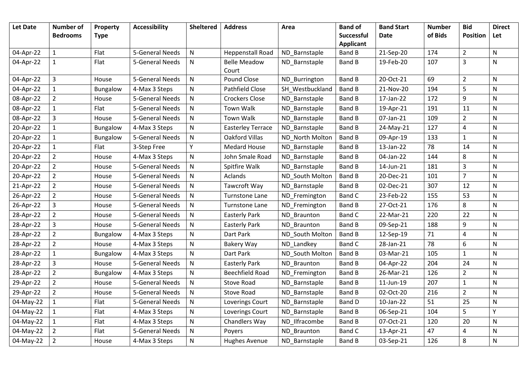| <b>Let Date</b> | <b>Number of</b> | Property        | <b>Accessibility</b> | <b>Sheltered</b> | <b>Address</b>           | Area            | <b>Band of</b>    | <b>Band Start</b> | <b>Number</b> | <b>Bid</b>              | <b>Direct</b> |
|-----------------|------------------|-----------------|----------------------|------------------|--------------------------|-----------------|-------------------|-------------------|---------------|-------------------------|---------------|
|                 | <b>Bedrooms</b>  | <b>Type</b>     |                      |                  |                          |                 | <b>Successful</b> | <b>Date</b>       | of Bids       | <b>Position</b>         | Let           |
|                 |                  |                 |                      |                  |                          |                 | <b>Applicant</b>  |                   |               |                         |               |
| 04-Apr-22       | $\mathbf{1}$     | Flat            | 5-General Needs      | ${\sf N}$        | <b>Heppenstall Road</b>  | ND_Barnstaple   | Band B            | 21-Sep-20         | 174           | $\overline{2}$          | ${\sf N}$     |
| 04-Apr-22       | 1                | Flat            | 5-General Needs      | N                | <b>Belle Meadow</b>      | ND Barnstaple   | <b>Band B</b>     | 19-Feb-20         | 107           | $\mathbf{3}$            | ${\sf N}$     |
|                 |                  |                 |                      |                  | Court                    |                 |                   |                   |               |                         |               |
| 04-Apr-22       | $\mathbf{3}$     | House           | 5-General Needs      | ${\sf N}$        | Pound Close              | ND_Burrington   | <b>Band B</b>     | 20-Oct-21         | 69            | $\overline{2}$          | N             |
| 04-Apr-22       | $\mathbf{1}$     | Bungalow        | 4-Max 3 Steps        | ${\sf N}$        | Pathfield Close          | SH_Westbuckland | <b>Band B</b>     | 21-Nov-20         | 194           | 5                       | N             |
| 08-Apr-22       | $\overline{2}$   | House           | 5-General Needs      | ${\sf N}$        | <b>Crockers Close</b>    | ND Barnstaple   | Band B            | 17-Jan-22         | 172           | 9                       | N             |
| 08-Apr-22       | $\mathbf{1}$     | Flat            | 5-General Needs      | ${\sf N}$        | <b>Town Walk</b>         | ND_Barnstaple   | <b>Band B</b>     | 19-Apr-21         | 191           | 11                      | N             |
| 08-Apr-22       | 3                | House           | 5-General Needs      | ${\sf N}$        | <b>Town Walk</b>         | ND Barnstaple   | <b>Band B</b>     | 07-Jan-21         | 109           | $\overline{2}$          | $\mathsf{N}$  |
| 20-Apr-22       | $\mathbf{1}$     | <b>Bungalow</b> | 4-Max 3 Steps        | ${\sf N}$        | <b>Easterley Terrace</b> | ND_Barnstaple   | Band B            | 24-May-21         | 127           | $\overline{\mathbf{4}}$ | $\mathsf{N}$  |
| 20-Apr-22       | $\mathbf{1}$     | Bungalow        | 5-General Needs      | ${\sf N}$        | Oakford Villas           | ND North Molton | <b>Band B</b>     | 09-Apr-19         | 133           | $\mathbf{1}$            | $\mathsf{N}$  |
| 20-Apr-22       | $\mathbf{1}$     | Flat            | 3-Step Free          | Y                | <b>Medard House</b>      | ND_Barnstaple   | Band B            | 13-Jan-22         | 78            | 14                      | $\mathsf{N}$  |
| 20-Apr-22       | $\overline{2}$   | House           | 4-Max 3 Steps        | ${\sf N}$        | John Smale Road          | ND_Barnstaple   | Band B            | 04-Jan-22         | 144           | 8                       | $\mathsf{N}$  |
| 20-Apr-22       | $\overline{2}$   | House           | 5-General Needs      | $\mathsf{N}$     | Spitfire Walk            | ND_Barnstaple   | Band B            | 14-Jun-21         | 181           | $\overline{3}$          | ${\sf N}$     |
| 20-Apr-22       | $\overline{2}$   | House           | 5-General Needs      | ${\sf N}$        | Aclands                  | ND South Molton | Band B            | 20-Dec-21         | 101           | $\overline{7}$          | $\mathsf{N}$  |
| 21-Apr-22       | $\overline{2}$   | House           | 5-General Needs      | ${\sf N}$        | Tawcroft Way             | ND Barnstaple   | Band B            | 02-Dec-21         | 307           | 12                      | N             |
| 26-Apr-22       | $\overline{2}$   | House           | 5-General Needs      | ${\sf N}$        | Turnstone Lane           | ND_Fremington   | Band C            | 23-Feb-22         | 155           | 53                      | ${\sf N}$     |
| 26-Apr-22       | 3                | House           | 5-General Needs      | ${\sf N}$        | Turnstone Lane           | ND_Fremington   | Band B            | 27-Oct-21         | 176           | 8                       | ${\sf N}$     |
| 28-Apr-22       | $\overline{2}$   | House           | 5-General Needs      | ${\sf N}$        | <b>Easterly Park</b>     | ND Braunton     | <b>Band C</b>     | 22-Mar-21         | 220           | 22                      | ${\sf N}$     |
| 28-Apr-22       | $\overline{3}$   | House           | 5-General Needs      | ${\sf N}$        | <b>Easterly Park</b>     | ND Braunton     | <b>Band B</b>     | 09-Sep-21         | 188           | 9                       | $\mathsf{N}$  |
| 28-Apr-22       | $\overline{2}$   | Bungalow        | 4-Max 3 Steps        | ${\sf N}$        | Dart Park                | ND South Molton | Band B            | 12-Sep-19         | 71            | $\overline{4}$          | ${\sf N}$     |
| 28-Apr-22       | $\overline{2}$   | House           | 4-Max 3 Steps        | ${\sf N}$        | Bakery Way               | ND Landkey      | <b>Band C</b>     | 28-Jan-21         | 78            | 6                       | $\mathsf{N}$  |
| 28-Apr-22       | $\mathbf{1}$     | Bungalow        | 4-Max 3 Steps        | ${\sf N}$        | Dart Park                | ND South Molton | Band B            | 03-Mar-21         | 105           | $\mathbf{1}$            | N             |
| 28-Apr-22       | $\overline{3}$   | House           | 5-General Needs      | ${\sf N}$        | <b>Easterly Park</b>     | ND Braunton     | <b>Band B</b>     | 04-Apr-22         | 204           | 24                      | N             |
| 28-Apr-22       | $\overline{2}$   | <b>Bungalow</b> | 4-Max 3 Steps        | ${\sf N}$        | <b>Beechfield Road</b>   | ND_Fremington   | Band B            | 26-Mar-21         | 126           | $\overline{2}$          | N             |
| 29-Apr-22       | $\overline{2}$   | House           | 5-General Needs      | ${\sf N}$        | <b>Stove Road</b>        | ND_Barnstaple   | Band B            | 11-Jun-19         | 207           | $\mathbf{1}$            | $\mathsf{N}$  |
| 29-Apr-22       | $\overline{2}$   | House           | 5-General Needs      | ${\sf N}$        | <b>Stove Road</b>        | ND_Barnstaple   | Band B            | 02-Oct-20         | 216           | $\overline{2}$          | N             |
| 04-May-22       | $\mathbf{1}$     | Flat            | 5-General Needs      | ${\sf N}$        | Loverings Court          | ND_Barnstaple   | Band D            | 10-Jan-22         | 51            | 25                      | ${\sf N}$     |
| 04-May-22       | $\mathbf{1}$     | Flat            | 4-Max 3 Steps        | ${\sf N}$        | Loverings Court          | ND_Barnstaple   | Band B            | 06-Sep-21         | 104           | 5                       | Y             |
| 04-May-22       | $\mathbf{1}$     | Flat            | 4-Max 3 Steps        | ${\sf N}$        | Chandlers Way            | ND_Ilfracombe   | Band B            | 07-Oct-21         | 120           | 20                      | ${\sf N}$     |
| 04-May-22       | $\overline{2}$   | Flat            | 5-General Needs      | ${\sf N}$        | Poyers                   | ND Braunton     | Band C            | 13-Apr-21         | 47            | 4                       | ${\sf N}$     |
| 04-May-22       | $\overline{2}$   | House           | 4-Max 3 Steps        | ${\sf N}$        | <b>Hughes Avenue</b>     | ND Barnstaple   | Band B            | 03-Sep-21         | 126           | 8                       | ${\sf N}$     |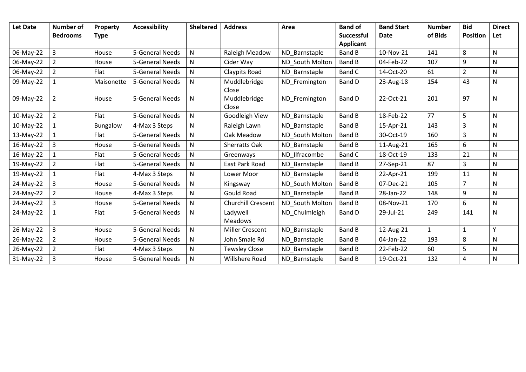| Let Date  | <b>Number of</b><br><b>Bedrooms</b> | Property<br><b>Type</b> | <b>Accessibility</b> | <b>Sheltered</b> | <b>Address</b>             | Area            | <b>Band of</b><br><b>Successful</b> | <b>Band Start</b><br>Date | <b>Number</b><br>of Bids | <b>Bid</b><br><b>Position</b> | <b>Direct</b><br>Let |
|-----------|-------------------------------------|-------------------------|----------------------|------------------|----------------------------|-----------------|-------------------------------------|---------------------------|--------------------------|-------------------------------|----------------------|
|           |                                     |                         |                      |                  |                            |                 | <b>Applicant</b>                    |                           |                          |                               |                      |
| 06-May-22 | $\overline{3}$                      | House                   | 5-General Needs      | N                | Raleigh Meadow             | ND Barnstaple   | <b>Band B</b>                       | 10-Nov-21                 | 141                      | 8                             | N                    |
| 06-May-22 | 2                                   | House                   | 5-General Needs      | N                | Cider Way                  | ND South Molton | Band B                              | 04-Feb-22                 | 107                      | 9                             | N                    |
| 06-May-22 | $\overline{2}$                      | Flat                    | 5-General Needs      | N                | Claypits Road              | ND Barnstaple   | Band C                              | 14-Oct-20                 | 61                       | $\overline{2}$                | N                    |
| 09-May-22 | $\mathbf{1}$                        | Maisonette              | 5-General Needs      | N                | Muddlebridge<br>Close      | ND Fremington   | Band D                              | 23-Aug-18                 | 154                      | 43                            | N                    |
| 09-May-22 | $\overline{2}$                      | House                   | 5-General Needs      | N                | Muddlebridge<br>Close      | ND Fremington   | Band D                              | 22-Oct-21                 | 201                      | 97                            | N.                   |
| 10-May-22 | $\overline{2}$                      | Flat                    | 5-General Needs      | $\mathsf{N}$     | Goodleigh View             | ND Barnstaple   | <b>Band B</b>                       | 18-Feb-22                 | 77                       | 5                             | N                    |
| 10-May-22 |                                     | Bungalow                | 4-Max 3 Steps        | N                | Raleigh Lawn               | ND Barnstaple   | <b>Band B</b>                       | 15-Apr-21                 | 143                      | $\overline{3}$                | N                    |
| 13-May-22 |                                     | Flat                    | 5-General Needs      | ${\sf N}$        | Oak Meadow                 | ND South Molton | Band B                              | 30-Oct-19                 | 160                      | $\overline{3}$                | N                    |
| 16-May-22 | $\overline{3}$                      | House                   | 5-General Needs      | $\mathsf{N}$     | <b>Sherratts Oak</b>       | ND Barnstaple   | Band B                              | 11-Aug-21                 | 165                      | 6                             | N                    |
| 16-May-22 | $\mathbf{1}$                        | Flat                    | 5-General Needs      | $\mathsf{N}$     | Greenways                  | ND_Ilfracombe   | Band C                              | 18-Oct-19                 | 133                      | 21                            | N                    |
| 19-May-22 | $\overline{2}$                      | Flat                    | 5-General Needs      | N                | East Park Road             | ND Barnstaple   | <b>Band B</b>                       | 27-Sep-21                 | 87                       | $\overline{3}$                | N                    |
| 19-May-22 | $\mathbf{1}$                        | Flat                    | 4-Max 3 Steps        | $\mathsf{N}$     | Lower Moor                 | ND Barnstaple   | <b>Band B</b>                       | 22-Apr-21                 | 199                      | 11                            | N                    |
| 24-May-22 | $\overline{3}$                      | House                   | 5-General Needs      | $\mathsf{N}$     | Kingsway                   | ND South Molton | Band B                              | 07-Dec-21                 | 105                      | $\overline{7}$                | N                    |
| 24-May-22 | $\overline{2}$                      | House                   | 4-Max 3 Steps        | $\mathsf{N}$     | Gould Road                 | ND_Barnstaple   | <b>Band B</b>                       | 28-Jan-22                 | 148                      | 9                             | N                    |
| 24-May-22 | $\overline{3}$                      | House                   | 5-General Needs      | $\mathsf{N}$     | <b>Churchill Crescent</b>  | ND South Molton | <b>Band B</b>                       | 08-Nov-21                 | 170                      | 6                             | N                    |
| 24-May-22 | $\mathbf{1}$                        | Flat                    | 5-General Needs      | $\mathsf{N}$     | Ladywell<br><b>Meadows</b> | ND Chulmleigh   | Band D                              | 29-Jul-21                 | 249                      | 141                           | N                    |
| 26-May-22 | $\overline{3}$                      | House                   | 5-General Needs      | ${\sf N}$        | <b>Miller Crescent</b>     | ND Barnstaple   | <b>Band B</b>                       | 12-Aug-21                 | $\mathbf{1}$             | $\mathbf{1}$                  | Y                    |
| 26-May-22 | $\overline{2}$                      | House                   | 5-General Needs      | N                | John Smale Rd              | ND_Barnstaple   | Band B                              | 04-Jan-22                 | 193                      | 8                             | N                    |
| 26-May-22 | $\overline{2}$                      | Flat                    | 4-Max 3 Steps        | $\mathsf{N}$     | <b>Tewsley Close</b>       | ND_Barnstaple   | Band B                              | 22-Feb-22                 | 60                       | 5                             | N                    |
| 31-May-22 | 3                                   | House                   | 5-General Needs      | $\mathsf{N}$     | <b>Willshere Road</b>      | ND_Barnstaple   | Band B                              | 19-Oct-21                 | 132                      | 4                             | N                    |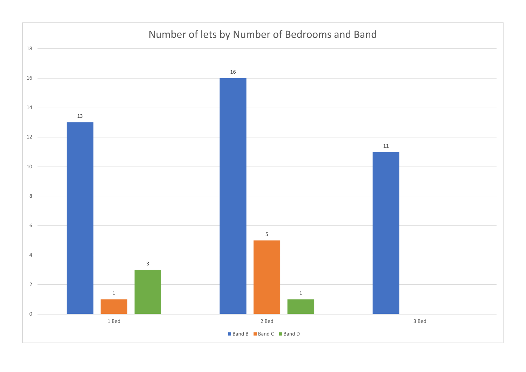